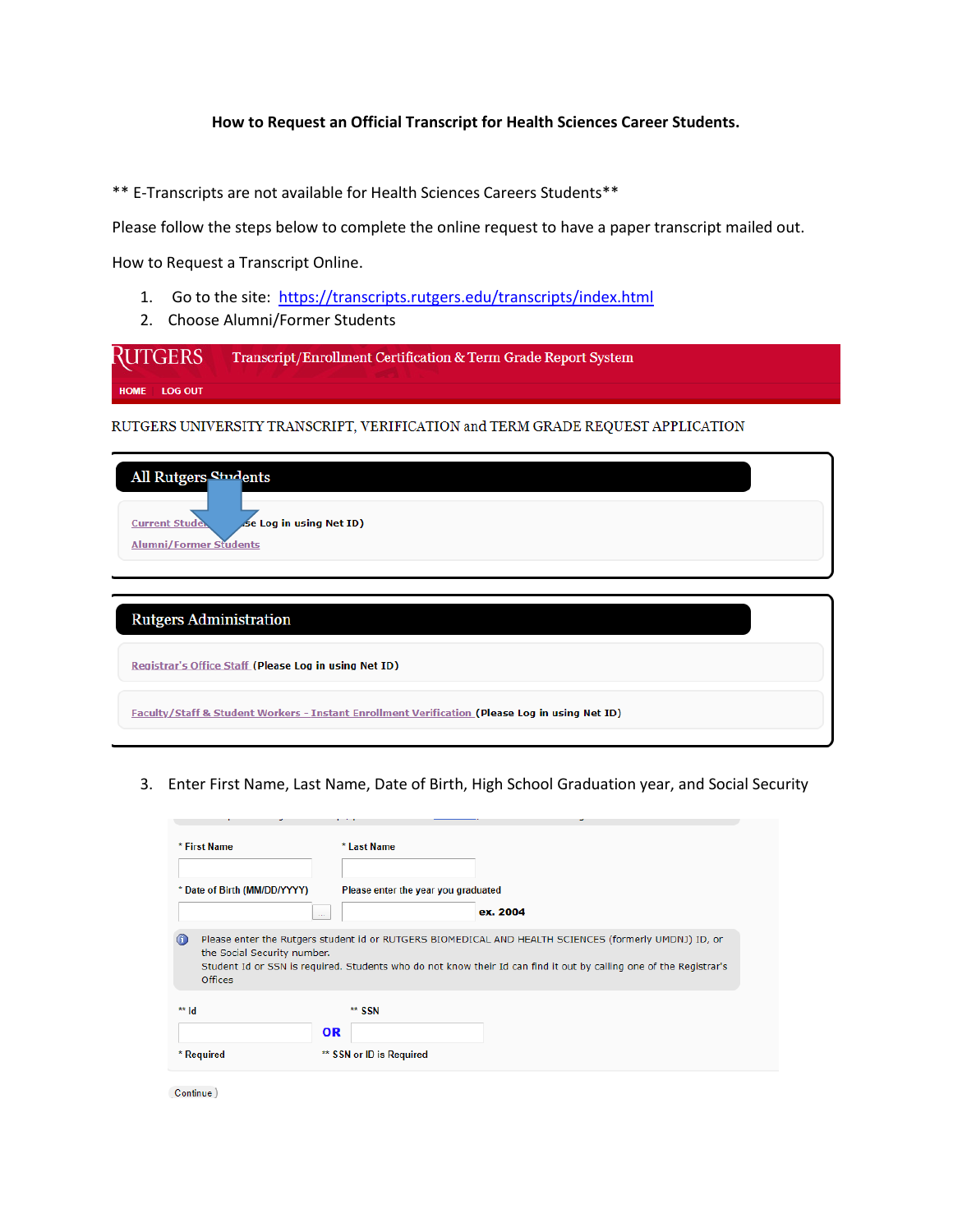## **How to Request an Official Transcript for Health Sciences Career Students.**

\*\* E-Transcripts are not available for Health Sciences Careers Students\*\*

Please follow the steps below to complete the online request to have a paper transcript mailed out.

How to Request a Transcript Online.

- 1. Go to the site: <https://transcripts.rutgers.edu/transcripts/index.html>
- 2. Choose Alumni/Former Students

| RUTGERS      | Transcript/Enrollment Certification & Term Grade Report System |
|--------------|----------------------------------------------------------------|
| HOME LOG OUT |                                                                |

RUTGERS UNIVERSITY TRANSCRIPT, VERIFICATION and TERM GRADE REQUEST APPLICATION

| All Rutgers Students                             |  |
|--------------------------------------------------|--|
| Se Log in using Net ID)<br><b>Current Studes</b> |  |
| <b>Alumni/Former Students</b>                    |  |
|                                                  |  |

| <b>Rutgers Administration</b>                                                                  |  |
|------------------------------------------------------------------------------------------------|--|
| Registrar's Office Staff (Please Log in using Net ID)                                          |  |
| Faculty/Staff & Student Workers - Instant Enrollment Verification (Please Log in using Net ID) |  |

3. Enter First Name, Last Name, Date of Birth, High School Graduation year, and Social Security

| * First Name              |                              |           | * Last Name                         |                                                                                                                                                                                                                             |
|---------------------------|------------------------------|-----------|-------------------------------------|-----------------------------------------------------------------------------------------------------------------------------------------------------------------------------------------------------------------------------|
|                           | * Date of Birth (MM/DD/YYYY) |           | Please enter the year you graduated |                                                                                                                                                                                                                             |
|                           | $\sim$                       |           |                                     | ex. 2004                                                                                                                                                                                                                    |
| $\circ$<br><b>Offices</b> | the Social Security number.  |           |                                     | Please enter the Rutgers student id or RUTGERS BIOMEDICAL AND HEALTH SCIENCES (formerly UMDNJ) ID, or<br>Student Id or SSN is required. Students who do not know their Id can find it out by calling one of the Registrar's |
| $**$ Id                   |                              |           | ** SSN                              |                                                                                                                                                                                                                             |
|                           |                              | <b>OR</b> |                                     |                                                                                                                                                                                                                             |
| * Required                |                              |           | ** SSN or ID is Required            |                                                                                                                                                                                                                             |

Continue)